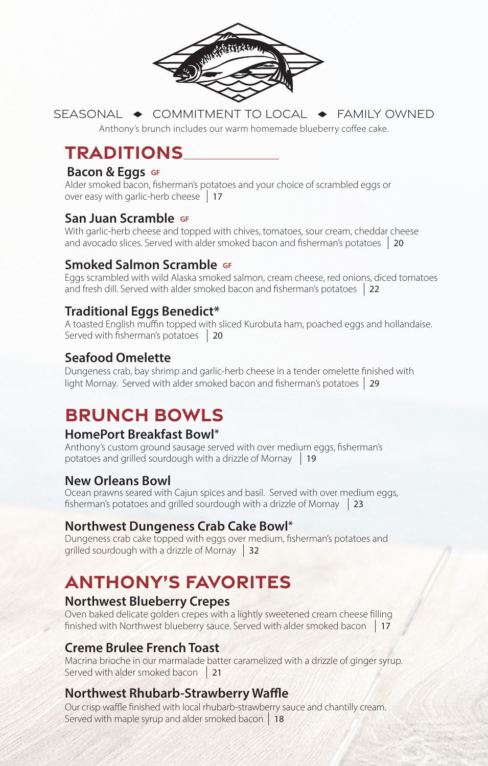

SEASONAL  $\rightarrow$  COMMITMENT TO LOCAL  $\rightarrow$  FAMILY OWNED Anthony's brunch includes our warm homemade blueberry coffee cake.

# **TRADITIONS**

### **Bacon & Eggs GF**

Alder smoked bacon, fisherman's potatoes and your choice of scrambled eggs or over easy with garlic-herb cheese 17

### **San Juan Scramble GF**

With garlic-herb cheese and topped with chives, tomatoes, sour cream, cheddar cheese and avocado slices. Served with alder smoked bacon and fisherman's potatoes | 20

## **Smoked Salmon Scramble GF**

Eggs scrambled with wild Alaska smoked salmon, cream cheese, red onions, diced tomatoes and fresh dill. Served with alder smoked bacon and fisherman's potatoes 22

## **Traditional Eggs Benedict\***

A toasted English muffin topped with sliced Kurobuta ham, poached eggs and hollandaise. Served with fisherman's potatoes 20

## **Seafood Omelette**

Dungeness crab, bay shrimp and garlic-herb cheese in a tender omelette finished with light Mornay. Served with alder smoked bacon and fisherman's potatoes 29

## **BRUNCH BOWLS**

## **HomePort Breakfast Bowl\***

Anthony's custom ground sausage served with over medium eggs, fisherman's potatoes and grilled sourdough with a drizzle of Mornay 19

#### **New Orleans Bowl**

Ocean prawns seared with Cajun spices and basil. Served with over medium eggs, fisherman's potatoes and grilled sourdough with a drizzle of Mornay  $\vert$  23

#### **Northwest Dungeness Crab Cake Bowl\***

Dungeness crab cake topped with eggs over medium, fisherman's potatoes and grilled sourdough with a drizzle of Mornay 32

# **ANTHONY'S FAVORITES**

#### **Northwest Blueberry Crepes**

Oven baked delicate golden crepes with a lightly sweetened cream cheese filling finished with Northwest blueberry sauce. Served with alder smoked bacon 17

### **Creme Brulee French Toast**

Macrina brioche in our marmalade batter caramelized with a drizzle of ginger syrup. Served with alder smoked bacon  $\frac{21}{2}$ 

### **Northwest Rhubarb-Strawberry Waffle**

Our crisp waffle finished with local rhubarb-strawberry sauce and chantilly cream. Served with maple syrup and alder smoked bacon 18